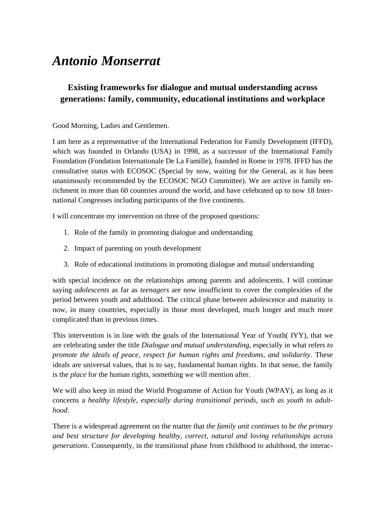# *Antonio Monserrat*

# **Existing frameworks for dialogue and mutual understanding across generations: family, community, educational institutions and workplace**

Good Morning, Ladies and Gentlemen.

I am here as a representative of the International Federation for Family Development (IFFD), which was founded in Orlando (USA) in 1998, as a successor of the International Family Foundation (Fondation Internationale De La Famille), founded in Rome in 1978. IFFD has the consultative status with ECOSOC (Special by now, waiting for the General, as it has been unanimously recommended by the ECOSOC NGO Committee). We are active in family enrichment in more than 60 countries around the world, and have celebrated up to now 18 International Congresses including participants of the five continents.

I will concentrate my intervention on three of the proposed questions:

- 1. Role of the family in promoting dialogue and understanding
- 2. Impact of parenting on youth development
- 3. Role of educational institutions in promoting dialogue and mutual understanding

with special incidence on the relationships among parents and adolescents. I will continue saying *adolescents* as far as *teenagers* are now insufficient to cover the complexities of the period between youth and adulthood. The critical phase between adolescence and maturity is now, in many countries, especially in those most developed, much longer and much more complicated than in previous times.

This intervention is in line with the goals of the International Year of Youth( IYY), that we are celebrating under the title *Dialogue and mutual understanding*, especially in what refers *to promote the ideals of peace, respect for human rights and freedoms, and solidarity*. These ideals are universal values, that is to say, fundamental human rights. In that sense, the family is the *place* for the human rights, something we will mention after.

We will also keep in mind the World Programme of Action for Youth (WPAY), as long as it concerns a *healthy lifestyle, especially during transitional periods, such as youth to adulthood*.

There is a widespread agreement on the matter that *the family unit continues to be the primary and best structure for developing healthy, correct, natural and loving relationships across generations*. Consequently, in the transitional phase from childhood to adulthood, the interac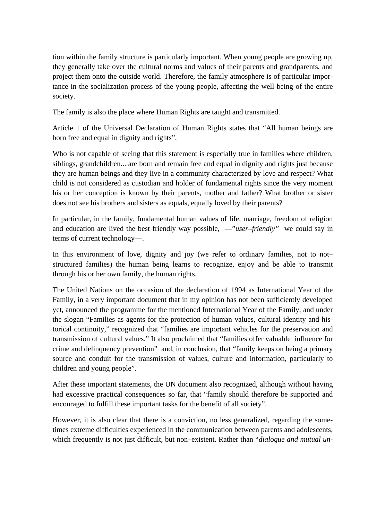tion within the family structure is particularly important. When young people are growing up, they generally take over the cultural norms and values of their parents and grandparents, and project them onto the outside world. Therefore, the family atmosphere is of particular importance in the socialization process of the young people, affecting the well being of the entire society.

The family is also the place where Human Rights are taught and transmitted.

Article 1 of the Universal Declaration of Human Rights states that "All human beings are born free and equal in dignity and rights".

Who is not capable of seeing that this statement is especially true in families where children, siblings, grandchildren... are born and remain free and equal in dignity and rights just because they are human beings and they live in a community characterized by love and respect? What child is not considered as custodian and holder of fundamental rights since the very moment his or her conception is known by their parents, mother and father? What brother or sister does not see his brothers and sisters as equals, equally loved by their parents?

In particular, in the family, fundamental human values of life, marriage, freedom of religion and education are lived the best friendly way possible, —"*user–friendly"* we could say in terms of current technology—.

In this environment of love, dignity and joy (we refer to ordinary families, not to not– structured families) the human being learns to recognize, enjoy and be able to transmit through his or her own family, the human rights.

The United Nations on the occasion of the declaration of 1994 as International Year of the Family, in a very important document that in my opinion has not been sufficiently developed yet, announced the programme for the mentioned International Year of the Family, and under the slogan "Families as agents for the protection of human values, cultural identity and historical continuity," recognized that "families are important vehicles for the preservation and transmission of cultural values." It also proclaimed that "families offer valuable influence for crime and delinquency prevention" and, in conclusion, that "family keeps on being a primary source and conduit for the transmission of values, culture and information, particularly to children and young people".

After these important statements, the UN document also recognized, although without having had excessive practical consequences so far, that "family should therefore be supported and encouraged to fulfill these important tasks for the benefit of all society".

However, it is also clear that there is a conviction, no less generalized, regarding the sometimes extreme difficulties experienced in the communication between parents and adolescents, which frequently is not just difficult, but non–existent. Rather than "*dialogue and mutual un-*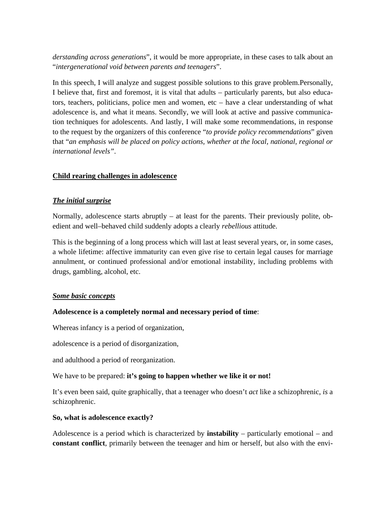*derstanding across generations*", it would be more appropriate, in these cases to talk about an "*intergenerational void between parents and teenagers*".

In this speech, I will analyze and suggest possible solutions to this grave problem.Personally, I believe that, first and foremost, it is vital that adults – particularly parents, but also educators, teachers, politicians, police men and women, etc – have a clear understanding of what adolescence is, and what it means. Secondly, we will look at active and passive communication techniques for adolescents. And lastly, I will make some recommendations, in response to the request by the organizers of this conference "*to provide policy recommendations*" given that "*an emphasis will be placed on policy actions, whether at the local, national, regional or international levels"*.

#### **Child rearing challenges in adolescence**

#### *The initial surprise*

Normally, adolescence starts abruptly – at least for the parents. Their previously polite, obedient and well–behaved child suddenly adopts a clearly *rebellious* attitude.

This is the beginning of a long process which will last at least several years, or, in some cases, a whole lifetime: affective immaturity can even give rise to certain legal causes for marriage annulment, or continued professional and/or emotional instability, including problems with drugs, gambling, alcohol, etc.

#### *Some basic concepts*

#### **Adolescence is a completely normal and necessary period of time**:

Whereas infancy is a period of organization,

adolescence is a period of disorganization,

and adulthood a period of reorganization.

We have to be prepared: **it's going to happen whether we like it or not!**

It's even been said, quite graphically, that a teenager who doesn't *act* like a schizophrenic, *is* a schizophrenic.

#### **So, what is adolescence exactly?**

Adolescence is a period which is characterized by **instability** – particularly emotional – and **constant conflict**, primarily between the teenager and him or herself, but also with the envi-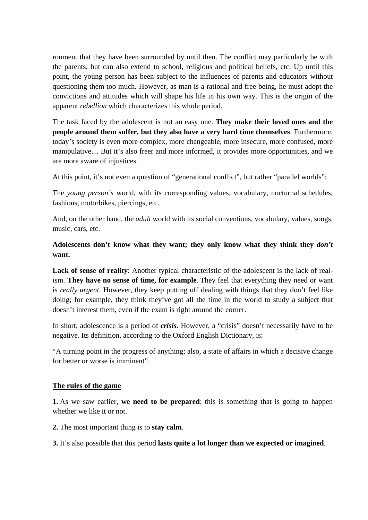ronment that they have been surrounded by until then. The conflict may particularly be with the parents, but can also extend to school, religious and political beliefs, etc. Up until this point, the young person has been subject to the influences of parents and educators without questioning them too much. However, as man is a rational and free being, he must adopt the convictions and attitudes which will shape his life in his own way. This is the origin of the apparent *rebellion* which characterizes this whole period.

The task faced by the adolescent is not an easy one. **They make their loved ones and the people around them suffer, but they also have a very hard time themselves**. Furthermore, today's society is even more complex, more changeable, more insecure, more confused, more manipulative… But it's also freer and more informed, it provides more opportunities, and we are more aware of injustices.

At this point, it's not even a question of "generational conflict", but rather "parallel worlds":

The *young person's* world, with its corresponding values, vocabulary, nocturnal schedules, fashions, motorbikes, piercings, etc.

And, on the other hand, the *adult* world with its social conventions, vocabulary, values, songs, music, cars, etc.

# **Adolescents don't know what they want; they only know what they think they** *don't* **want.**

**Lack of sense of reality**: Another typical characteristic of the adolescent is the lack of realism. **They have no sense of time, for example**. They feel that everything they need or want is *really urgent*. However, they keep putting off dealing with things that they don't feel like doing; for example, they think they've got all the time in the world to study a subject that doesn't interest them, even if the exam is right around the corner.

In short, adolescence is a period of *crisis*. However, a "crisis" doesn't necessarily have to be negative. Its definition, according to the Oxford English Dictionary, is:

"A turning point in the progress of anything; also, a state of affairs in which a decisive change for better or worse is imminent".

#### **The rules of the game**

**1.** As we saw earlier, **we need to be prepared**: this is something that is going to happen whether we like it or not.

**2.** The most important thing is to **stay calm**.

**3.** It's also possible that this period **lasts quite a lot longer than we expected or imagined**.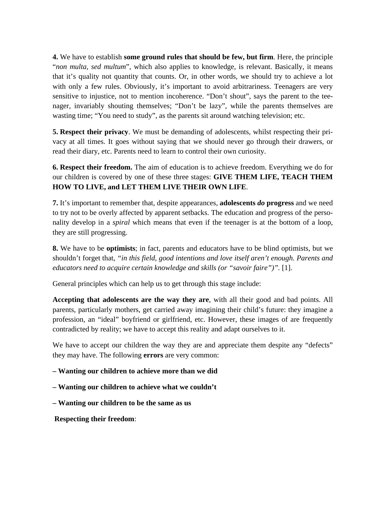**4.** We have to establish **some ground rules that should be few, but firm**. Here, the principle "*non multa, sed multum*", which also applies to knowledge, is relevant. Basically, it means that it's quality not quantity that counts. Or, in other words, we should try to achieve a lot with only a few rules. Obviously, it's important to avoid arbitrariness. Teenagers are very sensitive to injustice, not to mention incoherence. "Don't shout", says the parent to the teenager, invariably shouting themselves; "Don't be lazy", while the parents themselves are wasting time; "You need to study", as the parents sit around watching television; etc.

**5. Respect their privacy**. We must be demanding of adolescents, whilst respecting their privacy at all times. It goes without saying that we should never go through their drawers, or read their diary, etc. Parents need to learn to control their own curiosity.

**6. Respect their freedom.** The aim of education is to achieve freedom. Everything we do for our children is covered by one of these three stages: **GIVE THEM LIFE, TEACH THEM HOW TO LIVE, and LET THEM LIVE THEIR OWN LIFE**.

**7.** It's important to remember that, despite appearances, **adolescents** *do* **progress** and we need to try not to be overly affected by apparent setbacks. The education and progress of the personality develop in a *spiral* which means that even if the teenager is at the bottom of a loop, they are still progressing.

**8.** We have to be **optimists**; in fact, parents and educators have to be blind optimists, but we shouldn't forget that, *"in this field, good intentions and love itself aren't enough. Parents and educators need to acquire certain knowledge and skills (or "savoir faire")".* [1].

General principles which can help us to get through this stage include:

**Accepting that adolescents are the way they are**, with all their good and bad points. All parents, particularly mothers, get carried away imagining their child's future: they imagine a profession, an "ideal" boyfriend or girlfriend, etc. However, these images of are frequently contradicted by reality; we have to accept this reality and adapt ourselves to it.

We have to accept our children the way they are and appreciate them despite any "defects" they may have. The following **errors** are very common:

**– Wanting our children to achieve more than we did** 

**– Wanting our children to achieve what we couldn't** 

**– Wanting our children to be the same as us** 

**Respecting their freedom**: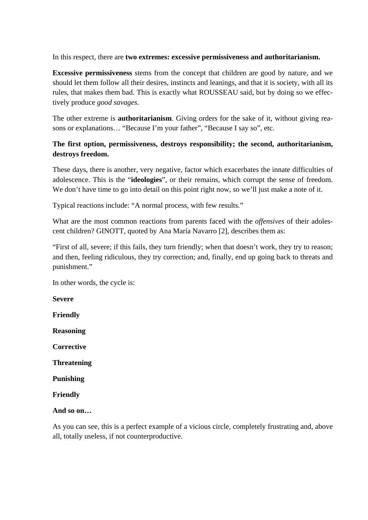In this respect, there are **two extremes: excessive permissiveness and authoritarianism.**

**Excessive permissiveness** stems from the concept that children are good by nature, and we should let them follow all their desires, instincts and leanings, and that it is society, with all its rules, that makes them bad. This is exactly what ROUSSEAU said, but by doing so we effectively produce *good savages*.

The other extreme is **authoritarianism**. Giving orders for the sake of it, without giving reasons or explanations… "Because I'm your father", "Because I say so", etc.

# **The first option, permissiveness, destroys responsibility; the second, authoritarianism, destroys freedom.**

These days, there is another, very negative, factor which exacerbates the innate difficulties of adolescence. This is the "**ideologies**", or their remains, which corrupt the sense of freedom. We don't have time to go into detail on this point right now, so we'll just make a note of it.

Typical reactions include: "A normal process, with few results."

What are the most common reactions from parents faced with the *offensives* of their adolescent children? GINOTT, quoted by Ana María Navarro [2], describes them as:

"First of all, severe; if this fails, they turn friendly; when that doesn't work, they try to reason; and then, feeling ridiculous, they try correction; and, finally, end up going back to threats and punishment."

In other words, the cycle is:

**Severe**

**Friendly**

**Reasoning**

**Corrective**

**Threatening**

**Punishing**

**Friendly**

#### **And so on…**

As you can see, this is a perfect example of a vicious circle, completely frustrating and, above all, totally useless, if not counterproductive.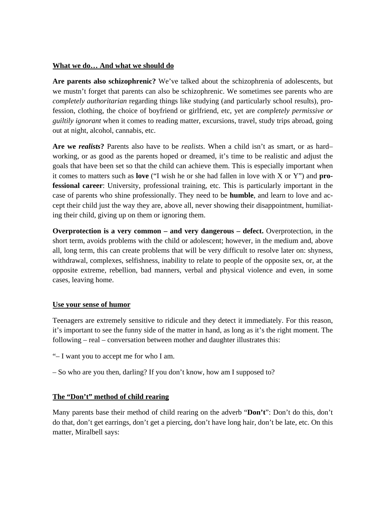#### **What we do… And what we should do**

**Are parents also schizophrenic?** We've talked about the schizophrenia of adolescents, but we mustn't forget that parents can also be schizophrenic. We sometimes see parents who are *completely authoritarian* regarding things like studying (and particularly school results), profession, clothing, the choice of boyfriend or girlfriend, etc, yet are *completely permissive or guiltily ignorant* when it comes to reading matter, excursions, travel, study trips abroad, going out at night, alcohol, cannabis, etc.

**Are we** *realists***?** Parents also have to be *realists*. When a child isn't as smart, or as hard– working, or as good as the parents hoped or dreamed, it's time to be realistic and adjust the goals that have been set so that the child can achieve them. This is especially important when it comes to matters such as **love** ("I wish he or she had fallen in love with X or Y") and **professional career**: University, professional training, etc. This is particularly important in the case of parents who shine professionally. They need to be **humble**, and learn to love and accept their child just the way they are, above all, never showing their disappointment, humiliating their child, giving up on them or ignoring them.

**Overprotection is a very common – and very dangerous – defect.** Overprotection, in the short term, avoids problems with the child or adolescent; however, in the medium and, above all, long term, this can create problems that will be very difficult to resolve later on: shyness, withdrawal, complexes, selfishness, inability to relate to people of the opposite sex, or, at the opposite extreme, rebellion, bad manners, verbal and physical violence and even, in some cases, leaving home.

#### **Use your sense of humor**

Teenagers are extremely sensitive to ridicule and they detect it immediately. For this reason, it's important to see the funny side of the matter in hand, as long as it's the right moment. The following – real – conversation between mother and daughter illustrates this:

- "– I want you to accept me for who I am.
- So who are you then, darling? If you don't know, how am I supposed to?

#### **The "Don't" method of child rearing**

Many parents base their method of child rearing on the adverb "**Don't**": Don't do this, don't do that, don't get earrings, don't get a piercing, don't have long hair, don't be late, etc. On this matter, Miralbell says: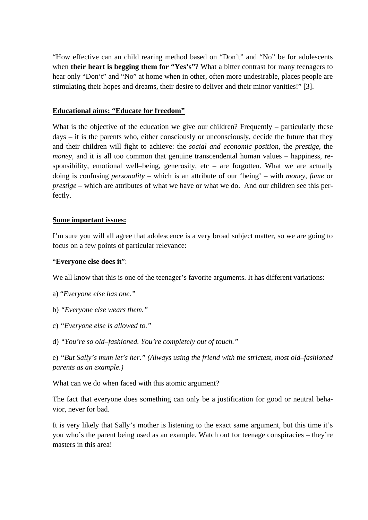"How effective can an child rearing method based on "Don't" and "No" be for adolescents when **their heart is begging them for "Yes's"**? What a bitter contrast for many teenagers to hear only "Don't" and "No" at home when in other, often more undesirable, places people are stimulating their hopes and dreams, their desire to deliver and their minor vanities!" [3].

#### **Educational aims: "Educate for freedom"**

What is the objective of the education we give our children? Frequently – particularly these days – it is the parents who, either consciously or unconsciously, decide the future that they and their children will fight to achieve: the *social and economic position*, the *prestige*, the *money*, and it is all too common that genuine transcendental human values – happiness, responsibility, emotional well–being, generosity, etc – are forgotten. What we are actually doing is confusing *personality* – which is an attribute of our 'being' – with *money*, *fame* or *prestige* – which are attributes of what we have or what we do. And our children see this perfectly.

#### **Some important issues:**

I'm sure you will all agree that adolescence is a very broad subject matter, so we are going to focus on a few points of particular relevance:

#### "**Everyone else does it**":

We all know that this is one of the teenager's favorite arguments. It has different variations:

- a) "*Everyone else has one."*
- b) *"Everyone else wears them."*
- c) *"Everyone else is allowed to."*
- d) *"You're so old–fashioned. You're completely out of touch."*

e) *"But Sally's mum let's her." (Always using the friend with the strictest, most old–fashioned parents as an example.)*

What can we do when faced with this atomic argument?

The fact that everyone does something can only be a justification for good or neutral behavior, never for bad.

It is very likely that Sally's mother is listening to the exact same argument, but this time it's you who's the parent being used as an example. Watch out for teenage conspiracies – they're masters in this area!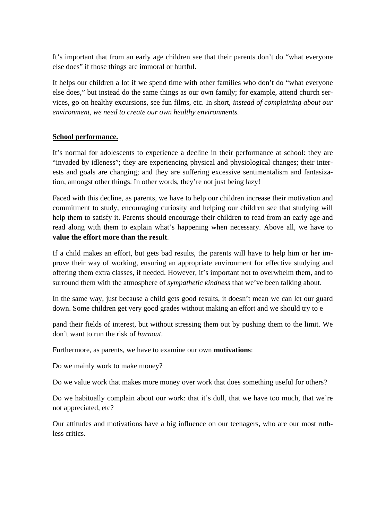It's important that from an early age children see that their parents don't do "what everyone else does" if those things are immoral or hurtful.

It helps our children a lot if we spend time with other families who don't do "what everyone else does," but instead do the same things as our own family; for example, attend church services, go on healthy excursions, see fun films, etc. In short, *instead of complaining about our environment, we need to create our own healthy environments.* 

#### **School performance.**

It's normal for adolescents to experience a decline in their performance at school: they are "invaded by idleness"; they are experiencing physical and physiological changes; their interests and goals are changing; and they are suffering excessive sentimentalism and fantasization, amongst other things. In other words, they're not just being lazy!

Faced with this decline, as parents, we have to help our children increase their motivation and commitment to study, encouraging curiosity and helping our children see that studying will help them to satisfy it. Parents should encourage their children to read from an early age and read along with them to explain what's happening when necessary. Above all, we have to **value the effort more than the result**.

If a child makes an effort, but gets bad results, the parents will have to help him or her improve their way of working, ensuring an appropriate environment for effective studying and offering them extra classes, if needed. However, it's important not to overwhelm them, and to surround them with the atmosphere of *sympathetic kindness* that we've been talking about.

In the same way, just because a child gets good results, it doesn't mean we can let our guard down. Some children get very good grades without making an effort and we should try to e

pand their fields of interest, but without stressing them out by pushing them to the limit. We don't want to run the risk of *burnout*.

Furthermore, as parents, we have to examine our own **motivations**:

Do we mainly work to make money?

Do we value work that makes more money over work that does something useful for others?

Do we habitually complain about our work: that it's dull, that we have too much, that we're not appreciated, etc?

Our attitudes and motivations have a big influence on our teenagers, who are our most ruthless critics.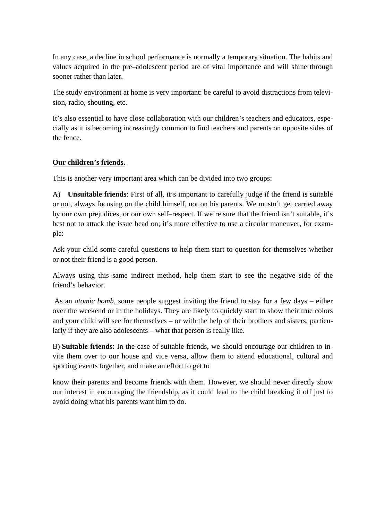In any case, a decline in school performance is normally a temporary situation. The habits and values acquired in the pre–adolescent period are of vital importance and will shine through sooner rather than later.

The study environment at home is very important: be careful to avoid distractions from television, radio, shouting, etc.

It's also essential to have close collaboration with our children's teachers and educators, especially as it is becoming increasingly common to find teachers and parents on opposite sides of the fence.

## **Our children's friends.**

This is another very important area which can be divided into two groups:

A) **Unsuitable friends**: First of all, it's important to carefully judge if the friend is suitable or not, always focusing on the child himself, not on his parents. We mustn't get carried away by our own prejudices, or our own self–respect. If we're sure that the friend isn't suitable, it's best not to attack the issue head on; it's more effective to use a circular maneuver, for example:

Ask your child some careful questions to help them start to question for themselves whether or not their friend is a good person.

Always using this same indirect method, help them start to see the negative side of the friend's behavior.

 As an *atomic bomb*, some people suggest inviting the friend to stay for a few days – either over the weekend or in the holidays. They are likely to quickly start to show their true colors and your child will see for themselves – or with the help of their brothers and sisters, particularly if they are also adolescents – what that person is really like.

B) **Suitable friends**: In the case of suitable friends, we should encourage our children to invite them over to our house and vice versa, allow them to attend educational, cultural and sporting events together, and make an effort to get to

know their parents and become friends with them. However, we should never directly show our interest in encouraging the friendship, as it could lead to the child breaking it off just to avoid doing what his parents want him to do.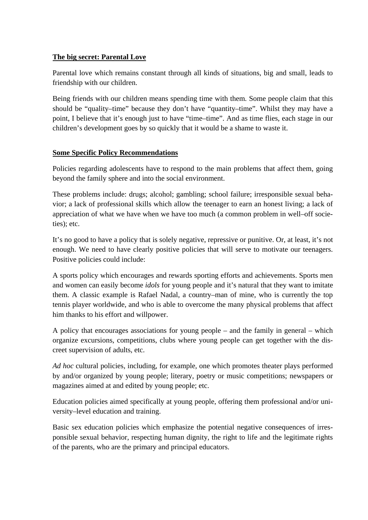## **The big secret: Parental Love**

Parental love which remains constant through all kinds of situations, big and small, leads to friendship with our children.

Being friends with our children means spending time with them. Some people claim that this should be "quality–time" because they don't have "quantity–time". Whilst they may have a point, I believe that it's enough just to have "time–time". And as time flies, each stage in our children's development goes by so quickly that it would be a shame to waste it.

#### **Some Specific Policy Recommendations**

Policies regarding adolescents have to respond to the main problems that affect them, going beyond the family sphere and into the social environment.

These problems include: drugs; alcohol; gambling; school failure; irresponsible sexual behavior; a lack of professional skills which allow the teenager to earn an honest living; a lack of appreciation of what we have when we have too much (a common problem in well–off societies); etc.

It's no good to have a policy that is solely negative, repressive or punitive. Or, at least, it's not enough. We need to have clearly positive policies that will serve to motivate our teenagers. Positive policies could include:

A sports policy which encourages and rewards sporting efforts and achievements. Sports men and women can easily become *idols* for young people and it's natural that they want to imitate them. A classic example is Rafael Nadal, a country–man of mine, who is currently the top tennis player worldwide, and who is able to overcome the many physical problems that affect him thanks to his effort and willpower.

A policy that encourages associations for young people – and the family in general – which organize excursions, competitions, clubs where young people can get together with the discreet supervision of adults, etc.

*Ad hoc* cultural policies, including, for example, one which promotes theater plays performed by and/or organized by young people; literary, poetry or music competitions; newspapers or magazines aimed at and edited by young people; etc.

Education policies aimed specifically at young people, offering them professional and/or university–level education and training.

Basic sex education policies which emphasize the potential negative consequences of irresponsible sexual behavior, respecting human dignity, the right to life and the legitimate rights of the parents, who are the primary and principal educators.